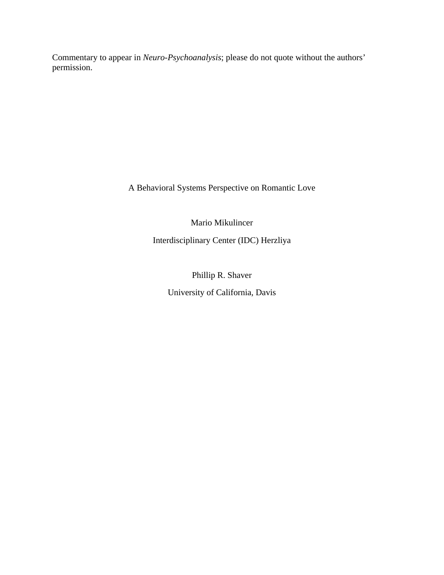Commentary to appear in *Neuro-Psychoanalysis*; please do not quote without the authors' permission.

A Behavioral Systems Perspective on Romantic Love

Mario Mikulincer Interdisciplinary Center (IDC) Herzliya

> Phillip R. Shaver University of California, Davis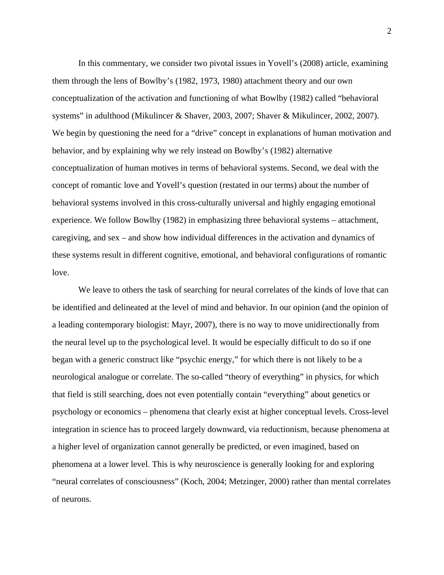In this commentary, we consider two pivotal issues in Yovell's (2008) article, examining them through the lens of Bowlby's (1982, 1973, 1980) attachment theory and our own conceptualization of the activation and functioning of what Bowlby (1982) called "behavioral systems" in adulthood (Mikulincer & Shaver, 2003, 2007; Shaver & Mikulincer, 2002, 2007). We begin by questioning the need for a "drive" concept in explanations of human motivation and behavior, and by explaining why we rely instead on Bowlby's (1982) alternative conceptualization of human motives in terms of behavioral systems. Second, we deal with the concept of romantic love and Yovell's question (restated in our terms) about the number of behavioral systems involved in this cross-culturally universal and highly engaging emotional experience. We follow Bowlby (1982) in emphasizing three behavioral systems – attachment, caregiving, and sex – and show how individual differences in the activation and dynamics of these systems result in different cognitive, emotional, and behavioral configurations of romantic love.

We leave to others the task of searching for neural correlates of the kinds of love that can be identified and delineated at the level of mind and behavior. In our opinion (and the opinion of a leading contemporary biologist: Mayr, 2007), there is no way to move unidirectionally from the neural level up to the psychological level. It would be especially difficult to do so if one began with a generic construct like "psychic energy," for which there is not likely to be a neurological analogue or correlate. The so-called "theory of everything" in physics, for which that field is still searching, does not even potentially contain "everything" about genetics or psychology or economics – phenomena that clearly exist at higher conceptual levels. Cross-level integration in science has to proceed largely downward, via reductionism, because phenomena at a higher level of organization cannot generally be predicted, or even imagined, based on phenomena at a lower level. This is why neuroscience is generally looking for and exploring "neural correlates of consciousness" (Koch, 2004; Metzinger, 2000) rather than mental correlates of neurons.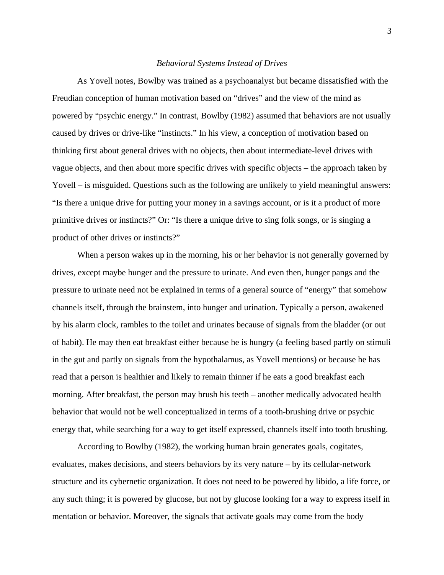## *Behavioral Systems Instead of Drives*

As Yovell notes, Bowlby was trained as a psychoanalyst but became dissatisfied with the Freudian conception of human motivation based on "drives" and the view of the mind as powered by "psychic energy." In contrast, Bowlby (1982) assumed that behaviors are not usually caused by drives or drive-like "instincts." In his view, a conception of motivation based on thinking first about general drives with no objects, then about intermediate-level drives with vague objects, and then about more specific drives with specific objects – the approach taken by Yovell – is misguided. Questions such as the following are unlikely to yield meaningful answers: "Is there a unique drive for putting your money in a savings account, or is it a product of more primitive drives or instincts?" Or: "Is there a unique drive to sing folk songs, or is singing a product of other drives or instincts?"

When a person wakes up in the morning, his or her behavior is not generally governed by drives, except maybe hunger and the pressure to urinate. And even then, hunger pangs and the pressure to urinate need not be explained in terms of a general source of "energy" that somehow channels itself, through the brainstem, into hunger and urination. Typically a person, awakened by his alarm clock, rambles to the toilet and urinates because of signals from the bladder (or out of habit). He may then eat breakfast either because he is hungry (a feeling based partly on stimuli in the gut and partly on signals from the hypothalamus, as Yovell mentions) or because he has read that a person is healthier and likely to remain thinner if he eats a good breakfast each morning. After breakfast, the person may brush his teeth – another medically advocated health behavior that would not be well conceptualized in terms of a tooth-brushing drive or psychic energy that, while searching for a way to get itself expressed, channels itself into tooth brushing.

According to Bowlby (1982), the working human brain generates goals, cogitates, evaluates, makes decisions, and steers behaviors by its very nature – by its cellular-network structure and its cybernetic organization. It does not need to be powered by libido, a life force, or any such thing; it is powered by glucose, but not by glucose looking for a way to express itself in mentation or behavior. Moreover, the signals that activate goals may come from the body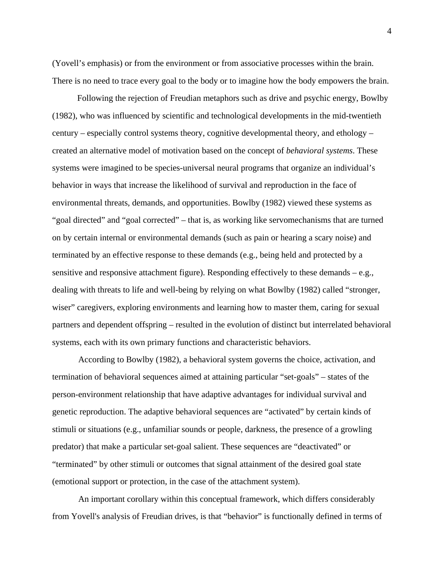(Yovell's emphasis) or from the environment or from associative processes within the brain. There is no need to trace every goal to the body or to imagine how the body empowers the brain.

Following the rejection of Freudian metaphors such as drive and psychic energy, Bowlby (1982), who was influenced by scientific and technological developments in the mid-twentieth century – especially control systems theory, cognitive developmental theory, and ethology – created an alternative model of motivation based on the concept of *behavioral systems*. These systems were imagined to be species-universal neural programs that organize an individual's behavior in ways that increase the likelihood of survival and reproduction in the face of environmental threats, demands, and opportunities. Bowlby (1982) viewed these systems as "goal directed" and "goal corrected" – that is, as working like servomechanisms that are turned on by certain internal or environmental demands (such as pain or hearing a scary noise) and terminated by an effective response to these demands (e.g., being held and protected by a sensitive and responsive attachment figure). Responding effectively to these demands – e.g., dealing with threats to life and well-being by relying on what Bowlby (1982) called "stronger, wiser" caregivers, exploring environments and learning how to master them, caring for sexual partners and dependent offspring – resulted in the evolution of distinct but interrelated behavioral systems, each with its own primary functions and characteristic behaviors.

According to Bowlby (1982), a behavioral system governs the choice, activation, and termination of behavioral sequences aimed at attaining particular "set-goals" – states of the person-environment relationship that have adaptive advantages for individual survival and genetic reproduction. The adaptive behavioral sequences are "activated" by certain kinds of stimuli or situations (e.g., unfamiliar sounds or people, darkness, the presence of a growling predator) that make a particular set-goal salient. These sequences are "deactivated" or "terminated" by other stimuli or outcomes that signal attainment of the desired goal state (emotional support or protection, in the case of the attachment system).

An important corollary within this conceptual framework, which differs considerably from Yovell's analysis of Freudian drives, is that "behavior" is functionally defined in terms of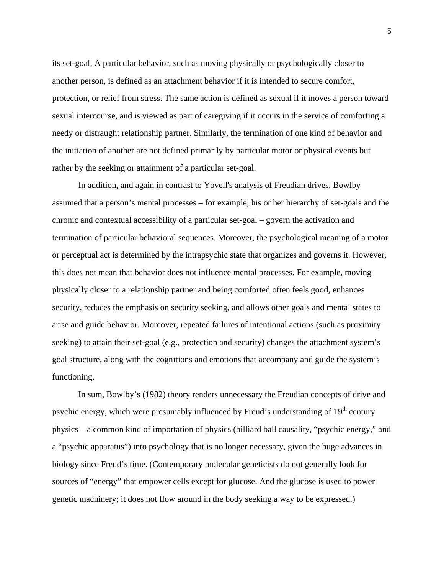its set-goal. A particular behavior, such as moving physically or psychologically closer to another person, is defined as an attachment behavior if it is intended to secure comfort, protection, or relief from stress. The same action is defined as sexual if it moves a person toward sexual intercourse, and is viewed as part of caregiving if it occurs in the service of comforting a needy or distraught relationship partner. Similarly, the termination of one kind of behavior and the initiation of another are not defined primarily by particular motor or physical events but rather by the seeking or attainment of a particular set-goal.

In addition, and again in contrast to Yovell's analysis of Freudian drives, Bowlby assumed that a person's mental processes – for example, his or her hierarchy of set-goals and the chronic and contextual accessibility of a particular set-goal – govern the activation and termination of particular behavioral sequences. Moreover, the psychological meaning of a motor or perceptual act is determined by the intrapsychic state that organizes and governs it. However, this does not mean that behavior does not influence mental processes. For example, moving physically closer to a relationship partner and being comforted often feels good, enhances security, reduces the emphasis on security seeking, and allows other goals and mental states to arise and guide behavior. Moreover, repeated failures of intentional actions (such as proximity seeking) to attain their set-goal (e.g., protection and security) changes the attachment system's goal structure, along with the cognitions and emotions that accompany and guide the system's functioning.

In sum, Bowlby's (1982) theory renders unnecessary the Freudian concepts of drive and psychic energy, which were presumably influenced by Freud's understanding of 19<sup>th</sup> century physics – a common kind of importation of physics (billiard ball causality, "psychic energy," and a "psychic apparatus") into psychology that is no longer necessary, given the huge advances in biology since Freud's time. (Contemporary molecular geneticists do not generally look for sources of "energy" that empower cells except for glucose. And the glucose is used to power genetic machinery; it does not flow around in the body seeking a way to be expressed.)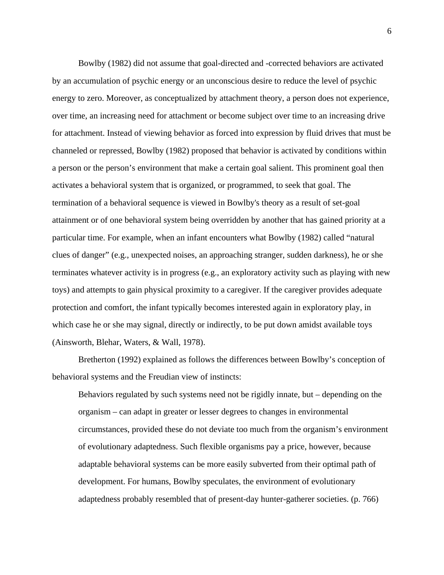Bowlby (1982) did not assume that goal-directed and -corrected behaviors are activated by an accumulation of psychic energy or an unconscious desire to reduce the level of psychic energy to zero. Moreover, as conceptualized by attachment theory, a person does not experience, over time, an increasing need for attachment or become subject over time to an increasing drive for attachment. Instead of viewing behavior as forced into expression by fluid drives that must be channeled or repressed, Bowlby (1982) proposed that behavior is activated by conditions within a person or the person's environment that make a certain goal salient. This prominent goal then activates a behavioral system that is organized, or programmed, to seek that goal. The termination of a behavioral sequence is viewed in Bowlby's theory as a result of set-goal attainment or of one behavioral system being overridden by another that has gained priority at a particular time. For example, when an infant encounters what Bowlby (1982) called "natural clues of danger" (e.g., unexpected noises, an approaching stranger, sudden darkness), he or she terminates whatever activity is in progress (e.g., an exploratory activity such as playing with new toys) and attempts to gain physical proximity to a caregiver. If the caregiver provides adequate protection and comfort, the infant typically becomes interested again in exploratory play, in which case he or she may signal, directly or indirectly, to be put down amidst available toys (Ainsworth, Blehar, Waters, & Wall, 1978).

Bretherton (1992) explained as follows the differences between Bowlby's conception of behavioral systems and the Freudian view of instincts:

Behaviors regulated by such systems need not be rigidly innate, but – depending on the organism – can adapt in greater or lesser degrees to changes in environmental circumstances, provided these do not deviate too much from the organism's environment of evolutionary adaptedness. Such flexible organisms pay a price, however, because adaptable behavioral systems can be more easily subverted from their optimal path of development. For humans, Bowlby speculates, the environment of evolutionary adaptedness probably resembled that of present-day hunter-gatherer societies. (p. 766)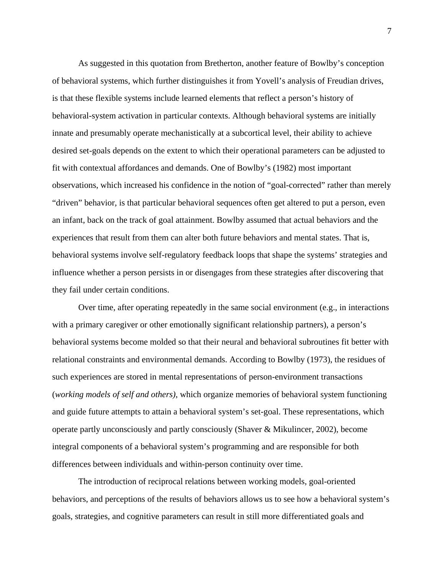As suggested in this quotation from Bretherton, another feature of Bowlby's conception of behavioral systems, which further distinguishes it from Yovell's analysis of Freudian drives, is that these flexible systems include learned elements that reflect a person's history of behavioral-system activation in particular contexts. Although behavioral systems are initially innate and presumably operate mechanistically at a subcortical level, their ability to achieve desired set-goals depends on the extent to which their operational parameters can be adjusted to fit with contextual affordances and demands. One of Bowlby's (1982) most important observations, which increased his confidence in the notion of "goal-corrected" rather than merely "driven" behavior, is that particular behavioral sequences often get altered to put a person, even an infant, back on the track of goal attainment. Bowlby assumed that actual behaviors and the experiences that result from them can alter both future behaviors and mental states. That is, behavioral systems involve self-regulatory feedback loops that shape the systems' strategies and influence whether a person persists in or disengages from these strategies after discovering that they fail under certain conditions.

Over time, after operating repeatedly in the same social environment (e.g., in interactions with a primary caregiver or other emotionally significant relationship partners), a person's behavioral systems become molded so that their neural and behavioral subroutines fit better with relational constraints and environmental demands. According to Bowlby (1973), the residues of such experiences are stored in mental representations of person-environment transactions (*working models of self and others)*, which organize memories of behavioral system functioning and guide future attempts to attain a behavioral system's set-goal. These representations, which operate partly unconsciously and partly consciously (Shaver & Mikulincer, 2002), become integral components of a behavioral system's programming and are responsible for both differences between individuals and within-person continuity over time.

The introduction of reciprocal relations between working models, goal-oriented behaviors, and perceptions of the results of behaviors allows us to see how a behavioral system's goals, strategies, and cognitive parameters can result in still more differentiated goals and

7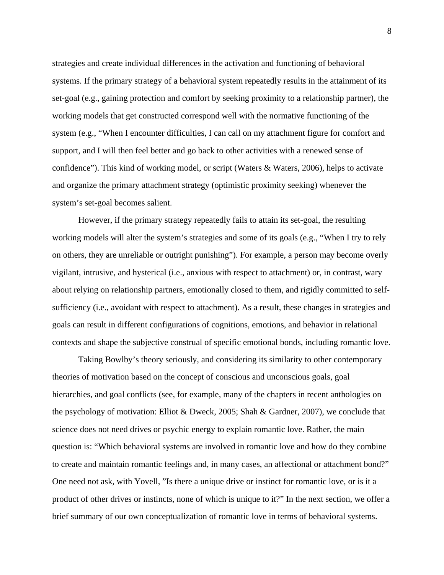strategies and create individual differences in the activation and functioning of behavioral systems. If the primary strategy of a behavioral system repeatedly results in the attainment of its set-goal (e.g., gaining protection and comfort by seeking proximity to a relationship partner), the working models that get constructed correspond well with the normative functioning of the system (e.g., "When I encounter difficulties, I can call on my attachment figure for comfort and support, and I will then feel better and go back to other activities with a renewed sense of confidence"). This kind of working model, or script (Waters & Waters, 2006), helps to activate and organize the primary attachment strategy (optimistic proximity seeking) whenever the system's set-goal becomes salient.

However, if the primary strategy repeatedly fails to attain its set-goal, the resulting working models will alter the system's strategies and some of its goals (e.g., "When I try to rely on others, they are unreliable or outright punishing"). For example, a person may become overly vigilant, intrusive, and hysterical (i.e., anxious with respect to attachment) or, in contrast, wary about relying on relationship partners, emotionally closed to them, and rigidly committed to selfsufficiency (i.e., avoidant with respect to attachment). As a result, these changes in strategies and goals can result in different configurations of cognitions, emotions, and behavior in relational contexts and shape the subjective construal of specific emotional bonds, including romantic love.

Taking Bowlby's theory seriously, and considering its similarity to other contemporary theories of motivation based on the concept of conscious and unconscious goals, goal hierarchies, and goal conflicts (see, for example, many of the chapters in recent anthologies on the psychology of motivation: Elliot & Dweck, 2005; Shah & Gardner, 2007), we conclude that science does not need drives or psychic energy to explain romantic love. Rather, the main question is: "Which behavioral systems are involved in romantic love and how do they combine to create and maintain romantic feelings and, in many cases, an affectional or attachment bond?" One need not ask, with Yovell, "Is there a unique drive or instinct for romantic love, or is it a product of other drives or instincts, none of which is unique to it?" In the next section, we offer a brief summary of our own conceptualization of romantic love in terms of behavioral systems.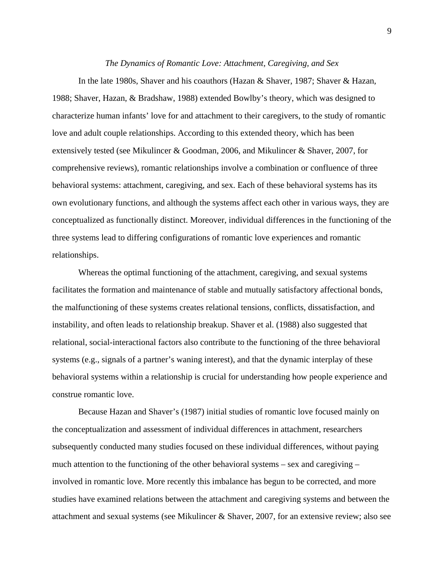### *The Dynamics of Romantic Love: Attachment, Caregiving, and Sex*

In the late 1980s, Shaver and his coauthors (Hazan & Shaver, 1987; Shaver & Hazan, 1988; Shaver, Hazan, & Bradshaw, 1988) extended Bowlby's theory, which was designed to characterize human infants' love for and attachment to their caregivers, to the study of romantic love and adult couple relationships. According to this extended theory, which has been extensively tested (see Mikulincer & Goodman, 2006, and Mikulincer & Shaver, 2007, for comprehensive reviews), romantic relationships involve a combination or confluence of three behavioral systems: attachment, caregiving, and sex. Each of these behavioral systems has its own evolutionary functions, and although the systems affect each other in various ways, they are conceptualized as functionally distinct. Moreover, individual differences in the functioning of the three systems lead to differing configurations of romantic love experiences and romantic relationships.

Whereas the optimal functioning of the attachment, caregiving, and sexual systems facilitates the formation and maintenance of stable and mutually satisfactory affectional bonds, the malfunctioning of these systems creates relational tensions, conflicts, dissatisfaction, and instability, and often leads to relationship breakup. Shaver et al. (1988) also suggested that relational, social-interactional factors also contribute to the functioning of the three behavioral systems (e.g., signals of a partner's waning interest), and that the dynamic interplay of these behavioral systems within a relationship is crucial for understanding how people experience and construe romantic love.

Because Hazan and Shaver's (1987) initial studies of romantic love focused mainly on the conceptualization and assessment of individual differences in attachment, researchers subsequently conducted many studies focused on these individual differences, without paying much attention to the functioning of the other behavioral systems – sex and caregiving – involved in romantic love. More recently this imbalance has begun to be corrected, and more studies have examined relations between the attachment and caregiving systems and between the attachment and sexual systems (see Mikulincer & Shaver, 2007, for an extensive review; also see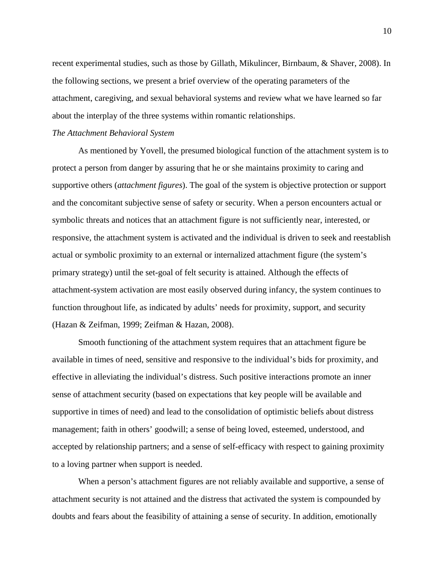recent experimental studies, such as those by Gillath, Mikulincer, Birnbaum, & Shaver, 2008). In the following sections, we present a brief overview of the operating parameters of the attachment, caregiving, and sexual behavioral systems and review what we have learned so far about the interplay of the three systems within romantic relationships.

# *The Attachment Behavioral System*

As mentioned by Yovell, the presumed biological function of the attachment system is to protect a person from danger by assuring that he or she maintains proximity to caring and supportive others (*attachment figures*). The goal of the system is objective protection or support and the concomitant subjective sense of safety or security. When a person encounters actual or symbolic threats and notices that an attachment figure is not sufficiently near, interested, or responsive, the attachment system is activated and the individual is driven to seek and reestablish actual or symbolic proximity to an external or internalized attachment figure (the system's primary strategy) until the set-goal of felt security is attained. Although the effects of attachment-system activation are most easily observed during infancy, the system continues to function throughout life, as indicated by adults' needs for proximity, support, and security (Hazan & Zeifman, 1999; Zeifman & Hazan, 2008).

Smooth functioning of the attachment system requires that an attachment figure be available in times of need, sensitive and responsive to the individual's bids for proximity, and effective in alleviating the individual's distress. Such positive interactions promote an inner sense of attachment security (based on expectations that key people will be available and supportive in times of need) and lead to the consolidation of optimistic beliefs about distress management; faith in others' goodwill; a sense of being loved, esteemed, understood, and accepted by relationship partners; and a sense of self-efficacy with respect to gaining proximity to a loving partner when support is needed.

When a person's attachment figures are not reliably available and supportive, a sense of attachment security is not attained and the distress that activated the system is compounded by doubts and fears about the feasibility of attaining a sense of security. In addition, emotionally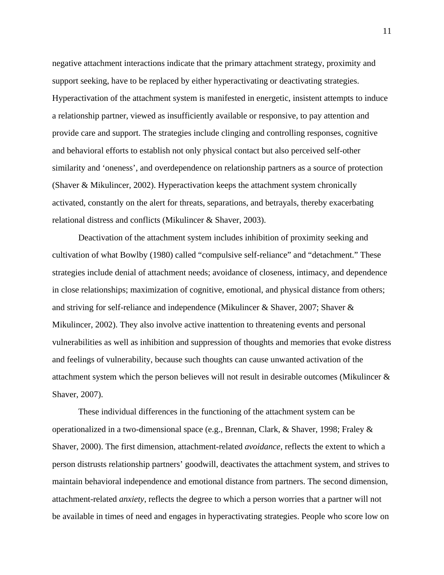negative attachment interactions indicate that the primary attachment strategy, proximity and support seeking, have to be replaced by either hyperactivating or deactivating strategies. Hyperactivation of the attachment system is manifested in energetic, insistent attempts to induce a relationship partner, viewed as insufficiently available or responsive, to pay attention and provide care and support. The strategies include clinging and controlling responses, cognitive and behavioral efforts to establish not only physical contact but also perceived self-other similarity and 'oneness', and overdependence on relationship partners as a source of protection (Shaver & Mikulincer, 2002). Hyperactivation keeps the attachment system chronically activated, constantly on the alert for threats, separations, and betrayals, thereby exacerbating relational distress and conflicts (Mikulincer & Shaver, 2003).

Deactivation of the attachment system includes inhibition of proximity seeking and cultivation of what Bowlby (1980) called "compulsive self-reliance" and "detachment." These strategies include denial of attachment needs; avoidance of closeness, intimacy, and dependence in close relationships; maximization of cognitive, emotional, and physical distance from others; and striving for self-reliance and independence (Mikulincer & Shaver, 2007; Shaver & Mikulincer, 2002). They also involve active inattention to threatening events and personal vulnerabilities as well as inhibition and suppression of thoughts and memories that evoke distress and feelings of vulnerability, because such thoughts can cause unwanted activation of the attachment system which the person believes will not result in desirable outcomes (Mikulincer & Shaver, 2007).

These individual differences in the functioning of the attachment system can be operationalized in a two-dimensional space (e.g., Brennan, Clark, & Shaver, 1998; Fraley & Shaver, 2000). The first dimension, attachment-related *avoidance*, reflects the extent to which a person distrusts relationship partners' goodwill, deactivates the attachment system, and strives to maintain behavioral independence and emotional distance from partners. The second dimension, attachment-related *anxiety*, reflects the degree to which a person worries that a partner will not be available in times of need and engages in hyperactivating strategies. People who score low on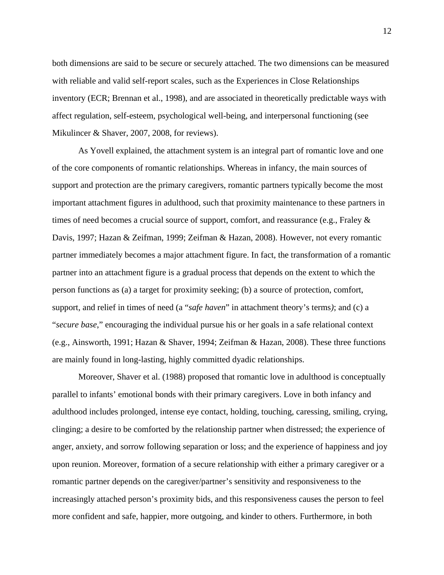both dimensions are said to be secure or securely attached. The two dimensions can be measured with reliable and valid self-report scales, such as the Experiences in Close Relationships inventory (ECR; Brennan et al., 1998), and are associated in theoretically predictable ways with affect regulation, self-esteem, psychological well-being, and interpersonal functioning (see Mikulincer & Shaver, 2007, 2008, for reviews).

As Yovell explained, the attachment system is an integral part of romantic love and one of the core components of romantic relationships. Whereas in infancy, the main sources of support and protection are the primary caregivers, romantic partners typically become the most important attachment figures in adulthood, such that proximity maintenance to these partners in times of need becomes a crucial source of support, comfort, and reassurance (e.g., Fraley & Davis, 1997; Hazan & Zeifman, 1999; Zeifman & Hazan, 2008). However, not every romantic partner immediately becomes a major attachment figure. In fact, the transformation of a romantic partner into an attachment figure is a gradual process that depends on the extent to which the person functions as (a) a target for proximity seeking; (b) a source of protection, comfort, support, and relief in times of need (a "*safe haven*" in attachment theory's terms*)*; and (c) a "*secure base*," encouraging the individual pursue his or her goals in a safe relational context (e.g., Ainsworth, 1991; Hazan & Shaver, 1994; Zeifman & Hazan, 2008). These three functions are mainly found in long-lasting, highly committed dyadic relationships.

Moreover, Shaver et al. (1988) proposed that romantic love in adulthood is conceptually parallel to infants' emotional bonds with their primary caregivers. Love in both infancy and adulthood includes prolonged, intense eye contact, holding, touching, caressing, smiling, crying, clinging; a desire to be comforted by the relationship partner when distressed; the experience of anger, anxiety, and sorrow following separation or loss; and the experience of happiness and joy upon reunion. Moreover, formation of a secure relationship with either a primary caregiver or a romantic partner depends on the caregiver/partner's sensitivity and responsiveness to the increasingly attached person's proximity bids, and this responsiveness causes the person to feel more confident and safe, happier, more outgoing, and kinder to others. Furthermore, in both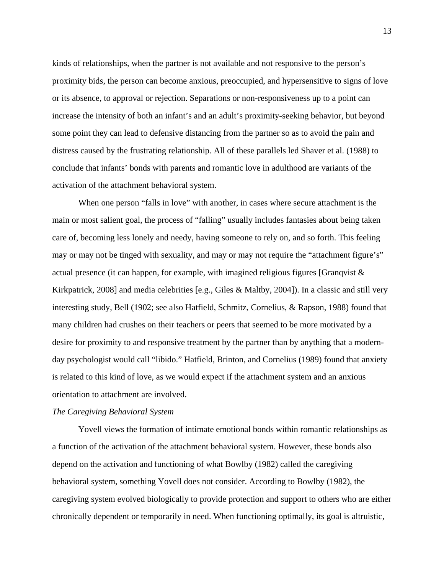kinds of relationships, when the partner is not available and not responsive to the person's proximity bids, the person can become anxious, preoccupied, and hypersensitive to signs of love or its absence, to approval or rejection. Separations or non-responsiveness up to a point can increase the intensity of both an infant's and an adult's proximity-seeking behavior, but beyond some point they can lead to defensive distancing from the partner so as to avoid the pain and distress caused by the frustrating relationship. All of these parallels led Shaver et al. (1988) to conclude that infants' bonds with parents and romantic love in adulthood are variants of the activation of the attachment behavioral system.

When one person "falls in love" with another, in cases where secure attachment is the main or most salient goal, the process of "falling" usually includes fantasies about being taken care of, becoming less lonely and needy, having someone to rely on, and so forth. This feeling may or may not be tinged with sexuality, and may or may not require the "attachment figure's" actual presence (it can happen, for example, with imagined religious figures [Granqvist & Kirkpatrick, 2008] and media celebrities [e.g., Giles & Maltby, 2004]). In a classic and still very interesting study, Bell (1902; see also Hatfield, Schmitz, Cornelius, & Rapson, 1988) found that many children had crushes on their teachers or peers that seemed to be more motivated by a desire for proximity to and responsive treatment by the partner than by anything that a modernday psychologist would call "libido." Hatfield, Brinton, and Cornelius (1989) found that anxiety is related to this kind of love, as we would expect if the attachment system and an anxious orientation to attachment are involved.

# *The Caregiving Behavioral System*

Yovell views the formation of intimate emotional bonds within romantic relationships as a function of the activation of the attachment behavioral system. However, these bonds also depend on the activation and functioning of what Bowlby (1982) called the caregiving behavioral system, something Yovell does not consider. According to Bowlby (1982), the caregiving system evolved biologically to provide protection and support to others who are either chronically dependent or temporarily in need. When functioning optimally, its goal is altruistic,

13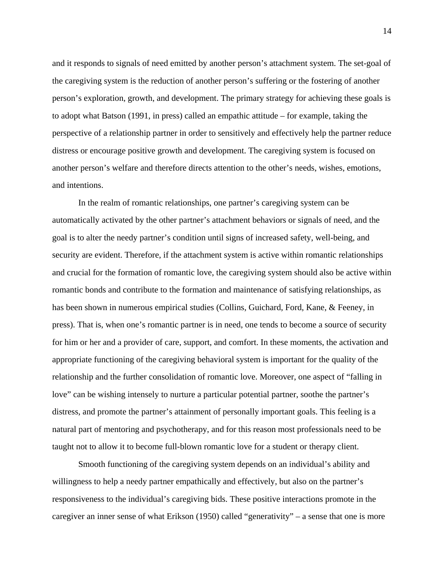and it responds to signals of need emitted by another person's attachment system. The set-goal of the caregiving system is the reduction of another person's suffering or the fostering of another person's exploration, growth, and development. The primary strategy for achieving these goals is to adopt what Batson (1991, in press) called an empathic attitude – for example, taking the perspective of a relationship partner in order to sensitively and effectively help the partner reduce distress or encourage positive growth and development. The caregiving system is focused on another person's welfare and therefore directs attention to the other's needs, wishes, emotions, and intentions.

In the realm of romantic relationships, one partner's caregiving system can be automatically activated by the other partner's attachment behaviors or signals of need, and the goal is to alter the needy partner's condition until signs of increased safety, well-being, and security are evident. Therefore, if the attachment system is active within romantic relationships and crucial for the formation of romantic love, the caregiving system should also be active within romantic bonds and contribute to the formation and maintenance of satisfying relationships, as has been shown in numerous empirical studies (Collins, Guichard, Ford, Kane, & Feeney, in press). That is, when one's romantic partner is in need, one tends to become a source of security for him or her and a provider of care, support, and comfort. In these moments, the activation and appropriate functioning of the caregiving behavioral system is important for the quality of the relationship and the further consolidation of romantic love. Moreover, one aspect of "falling in love" can be wishing intensely to nurture a particular potential partner, soothe the partner's distress, and promote the partner's attainment of personally important goals. This feeling is a natural part of mentoring and psychotherapy, and for this reason most professionals need to be taught not to allow it to become full-blown romantic love for a student or therapy client.

Smooth functioning of the caregiving system depends on an individual's ability and willingness to help a needy partner empathically and effectively, but also on the partner's responsiveness to the individual's caregiving bids. These positive interactions promote in the caregiver an inner sense of what Erikson (1950) called "generativity" – a sense that one is more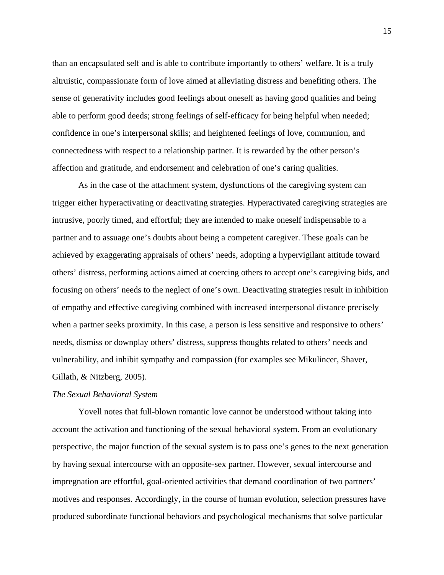than an encapsulated self and is able to contribute importantly to others' welfare. It is a truly altruistic, compassionate form of love aimed at alleviating distress and benefiting others. The sense of generativity includes good feelings about oneself as having good qualities and being able to perform good deeds; strong feelings of self-efficacy for being helpful when needed; confidence in one's interpersonal skills; and heightened feelings of love, communion, and connectedness with respect to a relationship partner. It is rewarded by the other person's affection and gratitude, and endorsement and celebration of one's caring qualities.

As in the case of the attachment system, dysfunctions of the caregiving system can trigger either hyperactivating or deactivating strategies. Hyperactivated caregiving strategies are intrusive, poorly timed, and effortful; they are intended to make oneself indispensable to a partner and to assuage one's doubts about being a competent caregiver. These goals can be achieved by exaggerating appraisals of others' needs, adopting a hypervigilant attitude toward others' distress, performing actions aimed at coercing others to accept one's caregiving bids, and focusing on others' needs to the neglect of one's own. Deactivating strategies result in inhibition of empathy and effective caregiving combined with increased interpersonal distance precisely when a partner seeks proximity. In this case, a person is less sensitive and responsive to others' needs, dismiss or downplay others' distress, suppress thoughts related to others' needs and vulnerability, and inhibit sympathy and compassion (for examples see Mikulincer, Shaver, Gillath, & Nitzberg, 2005).

### *The Sexual Behavioral System*

Yovell notes that full-blown romantic love cannot be understood without taking into account the activation and functioning of the sexual behavioral system. From an evolutionary perspective, the major function of the sexual system is to pass one's genes to the next generation by having sexual intercourse with an opposite-sex partner. However, sexual intercourse and impregnation are effortful, goal-oriented activities that demand coordination of two partners' motives and responses. Accordingly, in the course of human evolution, selection pressures have produced subordinate functional behaviors and psychological mechanisms that solve particular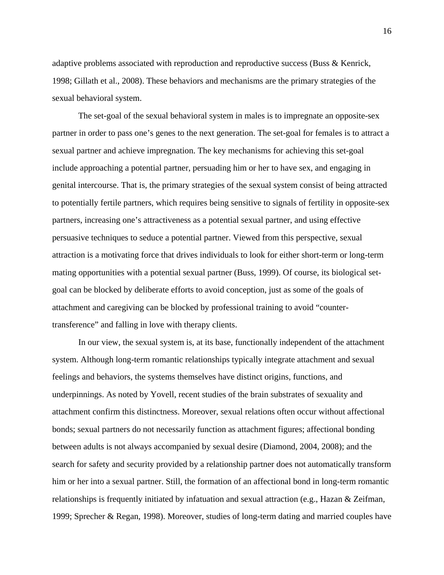adaptive problems associated with reproduction and reproductive success (Buss & Kenrick, 1998; Gillath et al., 2008). These behaviors and mechanisms are the primary strategies of the sexual behavioral system.

The set-goal of the sexual behavioral system in males is to impregnate an opposite-sex partner in order to pass one's genes to the next generation. The set-goal for females is to attract a sexual partner and achieve impregnation. The key mechanisms for achieving this set-goal include approaching a potential partner, persuading him or her to have sex, and engaging in genital intercourse. That is, the primary strategies of the sexual system consist of being attracted to potentially fertile partners, which requires being sensitive to signals of fertility in opposite-sex partners, increasing one's attractiveness as a potential sexual partner, and using effective persuasive techniques to seduce a potential partner. Viewed from this perspective, sexual attraction is a motivating force that drives individuals to look for either short-term or long-term mating opportunities with a potential sexual partner (Buss, 1999). Of course, its biological setgoal can be blocked by deliberate efforts to avoid conception, just as some of the goals of attachment and caregiving can be blocked by professional training to avoid "countertransference" and falling in love with therapy clients.

In our view, the sexual system is, at its base, functionally independent of the attachment system. Although long-term romantic relationships typically integrate attachment and sexual feelings and behaviors, the systems themselves have distinct origins, functions, and underpinnings. As noted by Yovell, recent studies of the brain substrates of sexuality and attachment confirm this distinctness. Moreover, sexual relations often occur without affectional bonds; sexual partners do not necessarily function as attachment figures; affectional bonding between adults is not always accompanied by sexual desire (Diamond, 2004, 2008); and the search for safety and security provided by a relationship partner does not automatically transform him or her into a sexual partner. Still, the formation of an affectional bond in long-term romantic relationships is frequently initiated by infatuation and sexual attraction (e.g., Hazan & Zeifman, 1999; Sprecher & Regan, 1998). Moreover, studies of long-term dating and married couples have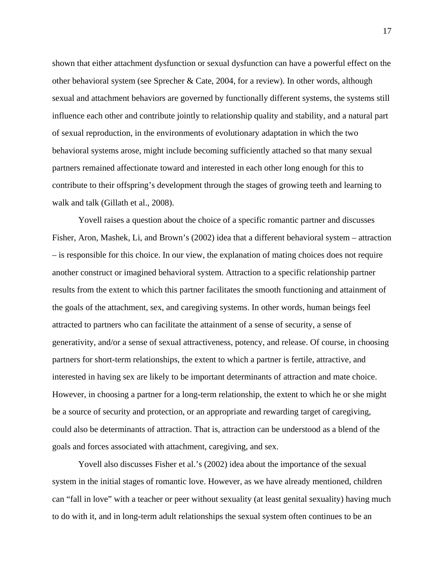shown that either attachment dysfunction or sexual dysfunction can have a powerful effect on the other behavioral system (see Sprecher & Cate, 2004, for a review). In other words, although sexual and attachment behaviors are governed by functionally different systems, the systems still influence each other and contribute jointly to relationship quality and stability, and a natural part of sexual reproduction, in the environments of evolutionary adaptation in which the two behavioral systems arose, might include becoming sufficiently attached so that many sexual partners remained affectionate toward and interested in each other long enough for this to contribute to their offspring's development through the stages of growing teeth and learning to walk and talk (Gillath et al., 2008).

Yovell raises a question about the choice of a specific romantic partner and discusses Fisher, Aron, Mashek, Li, and Brown's (2002) idea that a different behavioral system – attraction – is responsible for this choice. In our view, the explanation of mating choices does not require another construct or imagined behavioral system. Attraction to a specific relationship partner results from the extent to which this partner facilitates the smooth functioning and attainment of the goals of the attachment, sex, and caregiving systems. In other words, human beings feel attracted to partners who can facilitate the attainment of a sense of security, a sense of generativity, and/or a sense of sexual attractiveness, potency, and release. Of course, in choosing partners for short-term relationships, the extent to which a partner is fertile, attractive, and interested in having sex are likely to be important determinants of attraction and mate choice. However, in choosing a partner for a long-term relationship, the extent to which he or she might be a source of security and protection, or an appropriate and rewarding target of caregiving, could also be determinants of attraction. That is, attraction can be understood as a blend of the goals and forces associated with attachment, caregiving, and sex.

Yovell also discusses Fisher et al.'s (2002) idea about the importance of the sexual system in the initial stages of romantic love. However, as we have already mentioned, children can "fall in love" with a teacher or peer without sexuality (at least genital sexuality) having much to do with it, and in long-term adult relationships the sexual system often continues to be an

17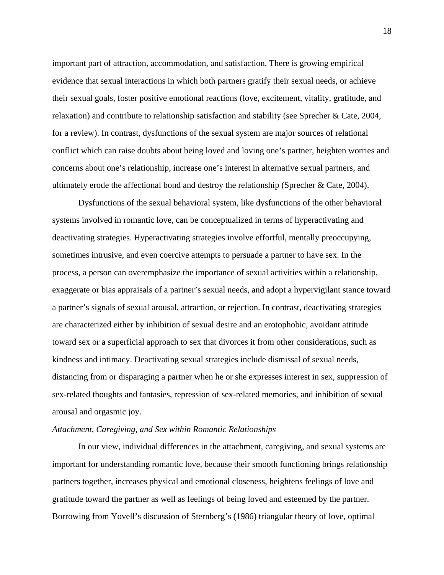important part of attraction, accommodation, and satisfaction. There is growing empirical evidence that sexual interactions in which both partners gratify their sexual needs, or achieve their sexual goals, foster positive emotional reactions (love, excitement, vitality, gratitude, and relaxation) and contribute to relationship satisfaction and stability (see Sprecher & Cate, 2004, for a review). In contrast, dysfunctions of the sexual system are major sources of relational conflict which can raise doubts about being loved and loving one's partner, heighten worries and concerns about one's relationship, increase one's interest in alternative sexual partners, and ultimately erode the affectional bond and destroy the relationship (Sprecher & Cate, 2004).

Dysfunctions of the sexual behavioral system, like dysfunctions of the other behavioral systems involved in romantic love, can be conceptualized in terms of hyperactivating and deactivating strategies. Hyperactivating strategies involve effortful, mentally preoccupying, sometimes intrusive, and even coercive attempts to persuade a partner to have sex. In the process, a person can overemphasize the importance of sexual activities within a relationship, exaggerate or bias appraisals of a partner's sexual needs, and adopt a hypervigilant stance toward a partner's signals of sexual arousal, attraction, or rejection. In contrast, deactivating strategies are characterized either by inhibition of sexual desire and an erotophobic, avoidant attitude toward sex or a superficial approach to sex that divorces it from other considerations, such as kindness and intimacy. Deactivating sexual strategies include dismissal of sexual needs, distancing from or disparaging a partner when he or she expresses interest in sex, suppression of sex-related thoughts and fantasies, repression of sex-related memories, and inhibition of sexual arousal and orgasmic joy.

# *Attachment, Caregiving, and Sex within Romantic Relationships*

In our view, individual differences in the attachment, caregiving, and sexual systems are important for understanding romantic love, because their smooth functioning brings relationship partners together, increases physical and emotional closeness, heightens feelings of love and gratitude toward the partner as well as feelings of being loved and esteemed by the partner. Borrowing from Yovell's discussion of Sternberg's (1986) triangular theory of love, optimal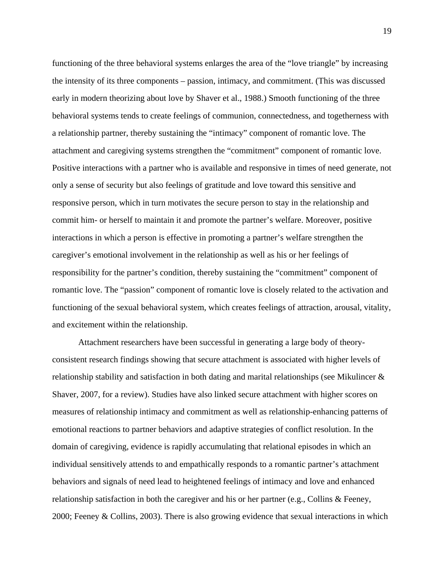functioning of the three behavioral systems enlarges the area of the "love triangle" by increasing the intensity of its three components – passion, intimacy, and commitment. (This was discussed early in modern theorizing about love by Shaver et al., 1988.) Smooth functioning of the three behavioral systems tends to create feelings of communion, connectedness, and togetherness with a relationship partner, thereby sustaining the "intimacy" component of romantic love. The attachment and caregiving systems strengthen the "commitment" component of romantic love. Positive interactions with a partner who is available and responsive in times of need generate, not only a sense of security but also feelings of gratitude and love toward this sensitive and responsive person, which in turn motivates the secure person to stay in the relationship and commit him- or herself to maintain it and promote the partner's welfare. Moreover, positive interactions in which a person is effective in promoting a partner's welfare strengthen the caregiver's emotional involvement in the relationship as well as his or her feelings of responsibility for the partner's condition, thereby sustaining the "commitment" component of romantic love. The "passion" component of romantic love is closely related to the activation and functioning of the sexual behavioral system, which creates feelings of attraction, arousal, vitality, and excitement within the relationship.

Attachment researchers have been successful in generating a large body of theoryconsistent research findings showing that secure attachment is associated with higher levels of relationship stability and satisfaction in both dating and marital relationships (see Mikulincer & Shaver, 2007, for a review). Studies have also linked secure attachment with higher scores on measures of relationship intimacy and commitment as well as relationship-enhancing patterns of emotional reactions to partner behaviors and adaptive strategies of conflict resolution. In the domain of caregiving, evidence is rapidly accumulating that relational episodes in which an individual sensitively attends to and empathically responds to a romantic partner's attachment behaviors and signals of need lead to heightened feelings of intimacy and love and enhanced relationship satisfaction in both the caregiver and his or her partner (e.g., Collins & Feeney, 2000; Feeney & Collins, 2003). There is also growing evidence that sexual interactions in which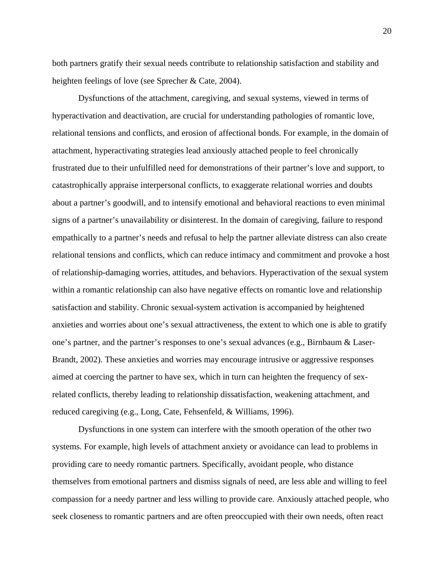both partners gratify their sexual needs contribute to relationship satisfaction and stability and heighten feelings of love (see Sprecher & Cate, 2004).

Dysfunctions of the attachment, caregiving, and sexual systems, viewed in terms of hyperactivation and deactivation, are crucial for understanding pathologies of romantic love, relational tensions and conflicts, and erosion of affectional bonds. For example, in the domain of attachment, hyperactivating strategies lead anxiously attached people to feel chronically frustrated due to their unfulfilled need for demonstrations of their partner's love and support, to catastrophically appraise interpersonal conflicts, to exaggerate relational worries and doubts about a partner's goodwill, and to intensify emotional and behavioral reactions to even minimal signs of a partner's unavailability or disinterest. In the domain of caregiving, failure to respond empathically to a partner's needs and refusal to help the partner alleviate distress can also create relational tensions and conflicts, which can reduce intimacy and commitment and provoke a host of relationship-damaging worries, attitudes, and behaviors. Hyperactivation of the sexual system within a romantic relationship can also have negative effects on romantic love and relationship satisfaction and stability. Chronic sexual-system activation is accompanied by heightened anxieties and worries about one's sexual attractiveness, the extent to which one is able to gratify one's partner, and the partner's responses to one's sexual advances (e.g., Birnbaum & Laser-Brandt, 2002). These anxieties and worries may encourage intrusive or aggressive responses aimed at coercing the partner to have sex, which in turn can heighten the frequency of sexrelated conflicts, thereby leading to relationship dissatisfaction, weakening attachment, and reduced caregiving (e.g., Long, Cate, Fehsenfeld, & Williams, 1996).

Dysfunctions in one system can interfere with the smooth operation of the other two systems. For example, high levels of attachment anxiety or avoidance can lead to problems in providing care to needy romantic partners. Specifically, avoidant people, who distance themselves from emotional partners and dismiss signals of need, are less able and willing to feel compassion for a needy partner and less willing to provide care. Anxiously attached people, who seek closeness to romantic partners and are often preoccupied with their own needs, often react

20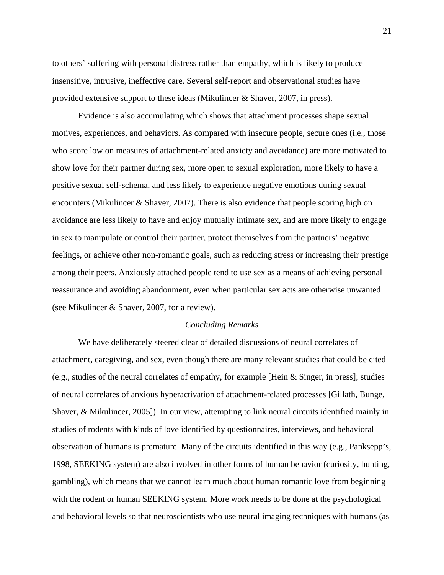to others' suffering with personal distress rather than empathy, which is likely to produce insensitive, intrusive, ineffective care. Several self-report and observational studies have provided extensive support to these ideas (Mikulincer & Shaver, 2007, in press).

Evidence is also accumulating which shows that attachment processes shape sexual motives, experiences, and behaviors. As compared with insecure people, secure ones (i.e., those who score low on measures of attachment-related anxiety and avoidance) are more motivated to show love for their partner during sex, more open to sexual exploration, more likely to have a positive sexual self-schema, and less likely to experience negative emotions during sexual encounters (Mikulincer & Shaver, 2007). There is also evidence that people scoring high on avoidance are less likely to have and enjoy mutually intimate sex, and are more likely to engage in sex to manipulate or control their partner, protect themselves from the partners' negative feelings, or achieve other non-romantic goals, such as reducing stress or increasing their prestige among their peers. Anxiously attached people tend to use sex as a means of achieving personal reassurance and avoiding abandonment, even when particular sex acts are otherwise unwanted (see Mikulincer & Shaver, 2007, for a review).

#### *Concluding Remarks*

We have deliberately steered clear of detailed discussions of neural correlates of attachment, caregiving, and sex, even though there are many relevant studies that could be cited (e.g., studies of the neural correlates of empathy, for example [Hein & Singer, in press]; studies of neural correlates of anxious hyperactivation of attachment-related processes [Gillath, Bunge, Shaver, & Mikulincer, 2005]). In our view, attempting to link neural circuits identified mainly in studies of rodents with kinds of love identified by questionnaires, interviews, and behavioral observation of humans is premature. Many of the circuits identified in this way (e.g., Panksepp's, 1998, SEEKING system) are also involved in other forms of human behavior (curiosity, hunting, gambling), which means that we cannot learn much about human romantic love from beginning with the rodent or human SEEKING system. More work needs to be done at the psychological and behavioral levels so that neuroscientists who use neural imaging techniques with humans (as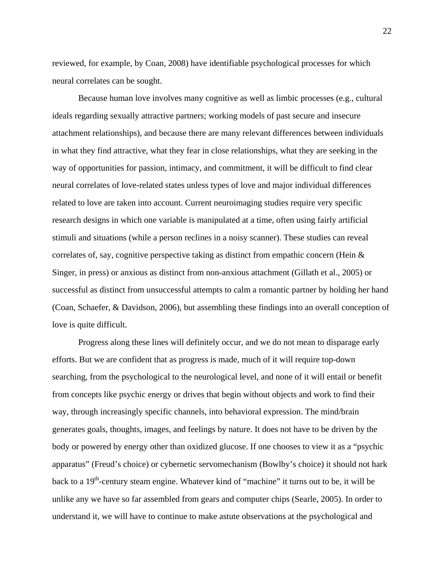reviewed, for example, by Coan, 2008) have identifiable psychological processes for which neural correlates can be sought.

Because human love involves many cognitive as well as limbic processes (e.g., cultural ideals regarding sexually attractive partners; working models of past secure and insecure attachment relationships), and because there are many relevant differences between individuals in what they find attractive, what they fear in close relationships, what they are seeking in the way of opportunities for passion, intimacy, and commitment, it will be difficult to find clear neural correlates of love-related states unless types of love and major individual differences related to love are taken into account. Current neuroimaging studies require very specific research designs in which one variable is manipulated at a time, often using fairly artificial stimuli and situations (while a person reclines in a noisy scanner). These studies can reveal correlates of, say, cognitive perspective taking as distinct from empathic concern (Hein & Singer, in press) or anxious as distinct from non-anxious attachment (Gillath et al., 2005) or successful as distinct from unsuccessful attempts to calm a romantic partner by holding her hand (Coan, Schaefer, & Davidson, 2006), but assembling these findings into an overall conception of love is quite difficult.

Progress along these lines will definitely occur, and we do not mean to disparage early efforts. But we are confident that as progress is made, much of it will require top-down searching, from the psychological to the neurological level, and none of it will entail or benefit from concepts like psychic energy or drives that begin without objects and work to find their way, through increasingly specific channels, into behavioral expression. The mind/brain generates goals, thoughts, images, and feelings by nature. It does not have to be driven by the body or powered by energy other than oxidized glucose. If one chooses to view it as a "psychic apparatus" (Freud's choice) or cybernetic servomechanism (Bowlby's choice) it should not hark back to a 19<sup>th</sup>-century steam engine. Whatever kind of "machine" it turns out to be, it will be unlike any we have so far assembled from gears and computer chips (Searle, 2005). In order to understand it, we will have to continue to make astute observations at the psychological and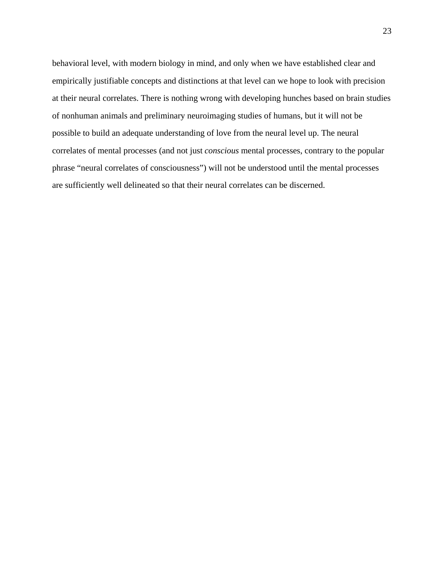behavioral level, with modern biology in mind, and only when we have established clear and empirically justifiable concepts and distinctions at that level can we hope to look with precision at their neural correlates. There is nothing wrong with developing hunches based on brain studies of nonhuman animals and preliminary neuroimaging studies of humans, but it will not be possible to build an adequate understanding of love from the neural level up. The neural correlates of mental processes (and not just *conscious* mental processes, contrary to the popular phrase "neural correlates of consciousness") will not be understood until the mental processes are sufficiently well delineated so that their neural correlates can be discerned.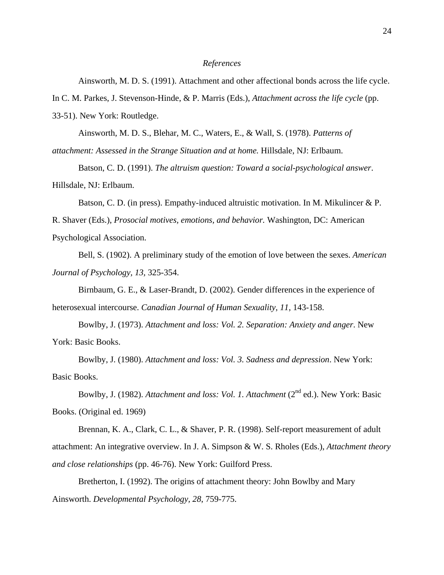### *References*

Ainsworth, M. D. S. (1991). Attachment and other affectional bonds across the life cycle. In C. M. Parkes, J. Stevenson-Hinde, & P. Marris (Eds.), *Attachment across the life cycle* (pp. 33-51). New York: Routledge.

Ainsworth, M. D. S., Blehar, M. C., Waters, E., & Wall, S. (1978). *Patterns of* 

*attachment: Assessed in the Strange Situation and at home.* Hillsdale, NJ: Erlbaum.

Batson, C. D. (1991). *The altruism question: Toward a social-psychological answer*. Hillsdale, NJ: Erlbaum.

Batson, C. D. (in press). Empathy-induced altruistic motivation. In M. Mikulincer & P.

R. Shaver (Eds.), *Prosocial motives, emotions, and behavior.* Washington, DC: American Psychological Association.

Bell, S. (1902). A preliminary study of the emotion of love between the sexes. *American Journal of Psychology, 13,* 325-354.

Birnbaum, G. E., & Laser-Brandt, D. (2002). Gender differences in the experience of heterosexual intercourse. *Canadian Journal of Human Sexuality, 11,* 143-158.

Bowlby, J. (1973). *Attachment and loss: Vol. 2. Separation: Anxiety and anger*. New York: Basic Books.

Bowlby, J. (1980). *Attachment and loss: Vol. 3. Sadness and depression*. New York: Basic Books.

Bowlby, J. (1982). *Attachment and loss: Vol. 1. Attachment* (2<sup>nd</sup> ed.). New York: Basic Books. (Original ed. 1969)

Brennan, K. A., Clark, C. L., & Shaver, P. R. (1998). Self-report measurement of adult attachment: An integrative overview. In J. A. Simpson & W. S. Rholes (Eds.), *Attachment theory and close relationships* (pp. 46-76). New York: Guilford Press.

Bretherton, I. (1992). The origins of attachment theory: John Bowlby and Mary Ainsworth. *Developmental Psychology, 28*, 759-775.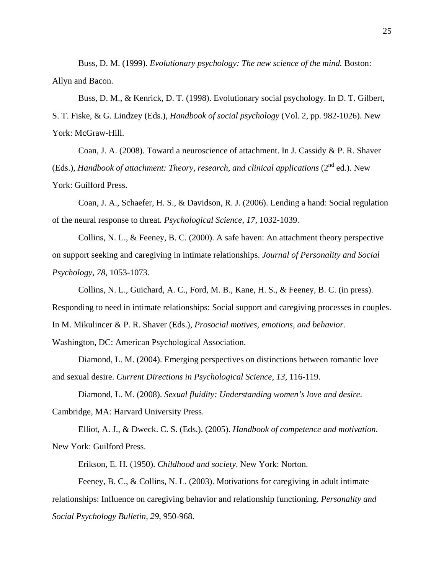Buss, D. M. (1999). *Evolutionary psychology: The new science of the mind.* Boston: Allyn and Bacon.

Buss, D. M., & Kenrick, D. T. (1998). Evolutionary social psychology. In D. T. Gilbert, S. T. Fiske, & G. Lindzey (Eds.), *Handbook of social psychology* (Vol. 2, pp. 982-1026). New York: McGraw-Hill.

Coan, J. A. (2008). Toward a neuroscience of attachment. In J. Cassidy & P. R. Shaver (Eds.), *Handbook of attachment: Theory, research, and clinical applications* (2<sup>nd</sup> ed.). New York: Guilford Press.

Coan, J. A., Schaefer, H. S., & Davidson, R. J. (2006). Lending a hand: Social regulation of the neural response to threat. *Psychological Science*, *17*, 1032-1039.

Collins, N. L., & Feeney, B. C. (2000). A safe haven: An attachment theory perspective on support seeking and caregiving in intimate relationships. *Journal of Personality and Social Psychology, 78*, 1053-1073.

Collins, N. L., Guichard, A. C., Ford, M. B., Kane, H. S., & Feeney, B. C. (in press).

Responding to need in intimate relationships: Social support and caregiving processes in couples.

In M. Mikulincer & P. R. Shaver (Eds.), *Prosocial motives, emotions, and behavior.* 

Washington, DC: American Psychological Association.

Diamond, L. M. (2004). Emerging perspectives on distinctions between romantic love and sexual desire. *Current Directions in Psychological Science, 13*, 116-119.

Diamond, L. M. (2008). *Sexual fluidity: Understanding women's love and desire*. Cambridge, MA: Harvard University Press.

Elliot, A. J., & Dweck. C. S. (Eds.). (2005). *Handbook of competence and motivation*. New York: Guilford Press.

Erikson, E. H. (1950). *Childhood and society*. New York: Norton.

Feeney, B. C., & Collins, N. L. (2003). Motivations for caregiving in adult intimate relationships: Influence on caregiving behavior and relationship functioning. *Personality and Social Psychology Bulletin, 29*, 950-968.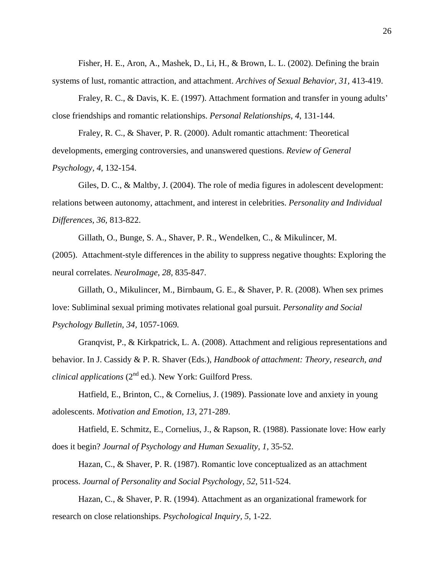Fisher, H. E., Aron, A., Mashek, D., Li, H., & Brown, L. L. (2002). Defining the brain systems of lust, romantic attraction, and attachment. *Archives of Sexual Behavior, 31,* 413-419.

Fraley, R. C., & Davis, K. E. (1997). Attachment formation and transfer in young adults' close friendships and romantic relationships. *Personal Relationships, 4*, 131-144.

Fraley, R. C., & Shaver, P. R. (2000). Adult romantic attachment: Theoretical developments, emerging controversies, and unanswered questions. *Review of General Psychology, 4*, 132-154.

Giles, D. C., & Maltby, J. (2004). The role of media figures in adolescent development: relations between autonomy, attachment, and interest in celebrities. *Personality and Individual Differences, 36,* 813-822.

Gillath, O., Bunge, S. A., Shaver, P. R., Wendelken, C., & Mikulincer, M.

(2005). Attachment-style differences in the ability to suppress negative thoughts: Exploring the neural correlates. *NeuroImage*, *28,* 835-847.

Gillath, O., Mikulincer, M., Birnbaum, G. E., & Shaver, P. R. (2008). When sex primes love: Subliminal sexual priming motivates relational goal pursuit. *Personality and Social Psychology Bulletin, 34,* 1057-1069*.*

Granqvist, P., & Kirkpatrick, L. A. (2008). Attachment and religious representations and behavior. In J. Cassidy & P. R. Shaver (Eds.), *Handbook of attachment: Theory, research, and clinical applications* (2<sup>nd</sup> ed.). New York: Guilford Press.

Hatfield, E., Brinton, C., & Cornelius, J. (1989). Passionate love and anxiety in young adolescents. *Motivation and Emotion, 13*, 271-289.

Hatfield, E. Schmitz, E., Cornelius, J., & Rapson, R. (1988). Passionate love: How early does it begin? *Journal of Psychology and Human Sexuality, 1,* 35-52.

Hazan, C., & Shaver, P. R. (1987). Romantic love conceptualized as an attachment process. *Journal of Personality and Social Psychology, 52*, 511-524.

Hazan, C., & Shaver, P. R. (1994). Attachment as an organizational framework for research on close relationships. *Psychological Inquiry, 5*, 1-22.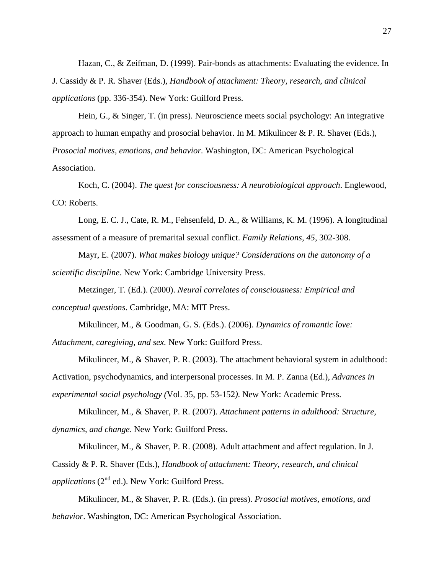Hazan, C., & Zeifman, D. (1999). Pair-bonds as attachments: Evaluating the evidence. In J. Cassidy & P. R. Shaver (Eds.), *Handbook of attachment: Theory, research, and clinical applications* (pp. 336-354). New York: Guilford Press.

Hein, G., & Singer, T. (in press). Neuroscience meets social psychology: An integrative approach to human empathy and prosocial behavior. In M. Mikulincer  $\&$  P. R. Shaver (Eds.), *Prosocial motives, emotions, and behavior.* Washington, DC: American Psychological Association.

Koch, C. (2004). *The quest for consciousness: A neurobiological approach*. Englewood, CO: Roberts.

Long, E. C. J., Cate, R. M., Fehsenfeld, D. A., & Williams, K. M. (1996). A longitudinal assessment of a measure of premarital sexual conflict. *Family Relations, 45*, 302-308.

Mayr, E. (2007). *What makes biology unique? Considerations on the autonomy of a scientific discipline*. New York: Cambridge University Press.

Metzinger, T. (Ed.). (2000). *Neural correlates of consciousness: Empirical and conceptual questions*. Cambridge, MA: MIT Press.

Mikulincer, M., & Goodman, G. S. (Eds.). (2006). *Dynamics of romantic love: Attachment, caregiving, and sex.* New York: Guilford Press.

Mikulincer, M., & Shaver, P. R. (2003). The attachment behavioral system in adulthood: Activation, psychodynamics, and interpersonal processes. In M. P. Zanna (Ed.), *Advances in experimental social psychology (*Vol. 35, pp. 53-152*)*. New York: Academic Press.

Mikulincer, M., & Shaver, P. R. (2007). *Attachment patterns in adulthood: Structure, dynamics, and change*. New York: Guilford Press.

Mikulincer, M., & Shaver, P. R. (2008). Adult attachment and affect regulation. In J.

Cassidy & P. R. Shaver (Eds.), *Handbook of attachment: Theory, research, and clinical applications* (2<sup>nd</sup> ed.). New York: Guilford Press.

Mikulincer, M., & Shaver, P. R. (Eds.). (in press). *Prosocial motives, emotions, and behavior*. Washington, DC: American Psychological Association.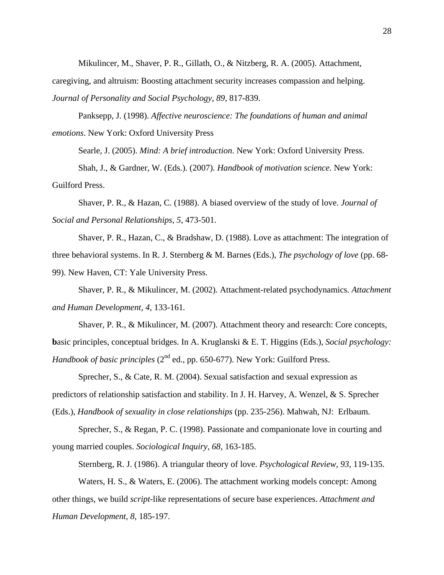Mikulincer, M., Shaver, P. R., Gillath, O., & Nitzberg, R. A. (2005). Attachment,

caregiving, and altruism: Boosting attachment security increases compassion and helping. *Journal of Personality and Social Psychology, 89,* 817-839.

Panksepp, J. (1998). *Affective neuroscience: The foundations of human and animal emotions*. New York: Oxford University Press

Searle, J. (2005). *Mind: A brief introduction*. New York: Oxford University Press.

Shah, J., & Gardner, W. (Eds.). (2007). *Handbook of motivation science.* New York: Guilford Press.

Shaver, P. R., & Hazan, C. (1988). A biased overview of the study of love. *Journal of Social and Personal Relationships*, *5*, 473-501.

Shaver, P. R., Hazan, C., & Bradshaw, D. (1988). Love as attachment: The integration of three behavioral systems. In R. J. Sternberg & M. Barnes (Eds.), *The psychology of love* (pp. 68- 99). New Haven, CT: Yale University Press.

Shaver, P. R., & Mikulincer, M. (2002). Attachment-related psychodynamics. *Attachment and Human Development, 4*, 133-161*.*

Shaver, P. R., & Mikulincer, M. (2007). Attachment theory and research: Core concepts, **b**asic principles, conceptual bridges. In A. Kruglanski & E. T. Higgins (Eds.), *Social psychology: Handbook of basic principles* (2<sup>nd</sup> ed., pp. 650-677). New York: Guilford Press.

Sprecher, S., & Cate, R. M. (2004). Sexual satisfaction and sexual expression as predictors of relationship satisfaction and stability. In J. H. Harvey, A. Wenzel, & S. Sprecher (Eds.), *Handbook of sexuality in close relationships* (pp. 235-256). Mahwah, NJ: Erlbaum.

Sprecher, S., & Regan, P. C. (1998). Passionate and companionate love in courting and young married couples. *Sociological Inquiry, 68,* 163-185.

Sternberg, R. J. (1986). A triangular theory of love. *Psychological Review, 93*, 119-135.

Waters, H. S., & Waters, E. (2006). The attachment working models concept: Among other things, we build *script*-like representations of secure base experiences. *Attachment and Human Development, 8*, 185-197.